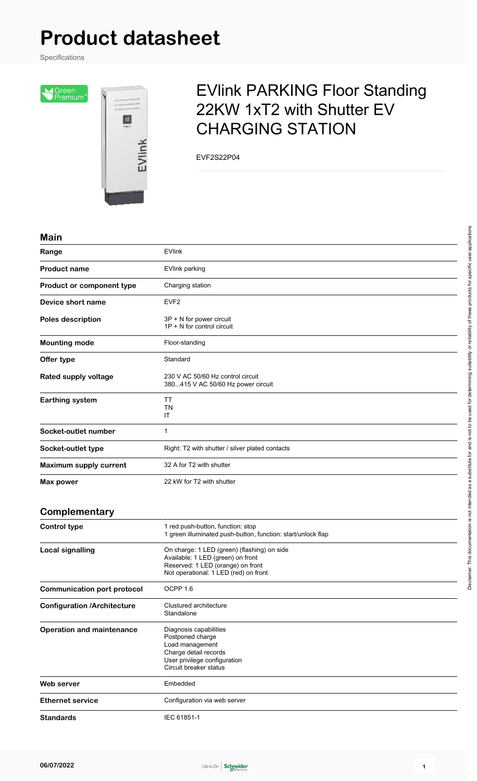# **Product datasheet**

Specifications

Sereen<br>Premium<sup>®</sup>



## EVlink PARKING Floor Standing 22KW 1xT2 with Shutter EV CHARGING STATION

EVF2S22P04

#### **Main**

| Range                              | <b>EVlink</b>                                                                                                                                                  |
|------------------------------------|----------------------------------------------------------------------------------------------------------------------------------------------------------------|
| <b>Product name</b>                | EVlink parking                                                                                                                                                 |
| Product or component type          | Charging station                                                                                                                                               |
| Device short name                  | EVF <sub>2</sub>                                                                                                                                               |
| Poles description                  | 3P + N for power circuit<br>1P + N for control circuit                                                                                                         |
| <b>Mounting mode</b>               | Floor-standing                                                                                                                                                 |
| Offer type                         | Standard                                                                                                                                                       |
| Rated supply voltage               | 230 V AC 50/60 Hz control circuit<br>380415 V AC 50/60 Hz power circuit                                                                                        |
| <b>Earthing system</b>             | TT<br>ΤN<br>IT                                                                                                                                                 |
| Socket-outlet number               | 1                                                                                                                                                              |
| Socket-outlet type                 | Right: T2 with shutter / silver plated contacts                                                                                                                |
| <b>Maximum supply current</b>      | 32 A for T2 with shutter                                                                                                                                       |
| <b>Max power</b>                   | 22 kW for T2 with shutter                                                                                                                                      |
| Complementary                      |                                                                                                                                                                |
| <b>Control type</b>                | 1 red push-button, function: stop<br>1 green illuminated push-button, function: start/unlock flap                                                              |
| <b>Local signalling</b>            | On charge: 1 LED (green) (flashing) on side<br>Available: 1 LED (green) on front<br>Reserved: 1 LED (orange) on front<br>Not operational: 1 LED (red) on front |
| <b>Communication port protocol</b> | OCPP 1.6                                                                                                                                                       |
| <b>Configuration /Architecture</b> | Clustured architecture<br>Standalone                                                                                                                           |
| <b>Operation and maintenance</b>   | Diagnosis capabilities<br>Postponed charge<br>Load management<br>Charge detail records<br>User privilege configuration<br>Circuit breaker status               |
| Web server                         | Embedded                                                                                                                                                       |
| <b>Ethernet service</b>            | Configuration via web server                                                                                                                                   |
| <b>Standards</b>                   | IEC 61851-1                                                                                                                                                    |